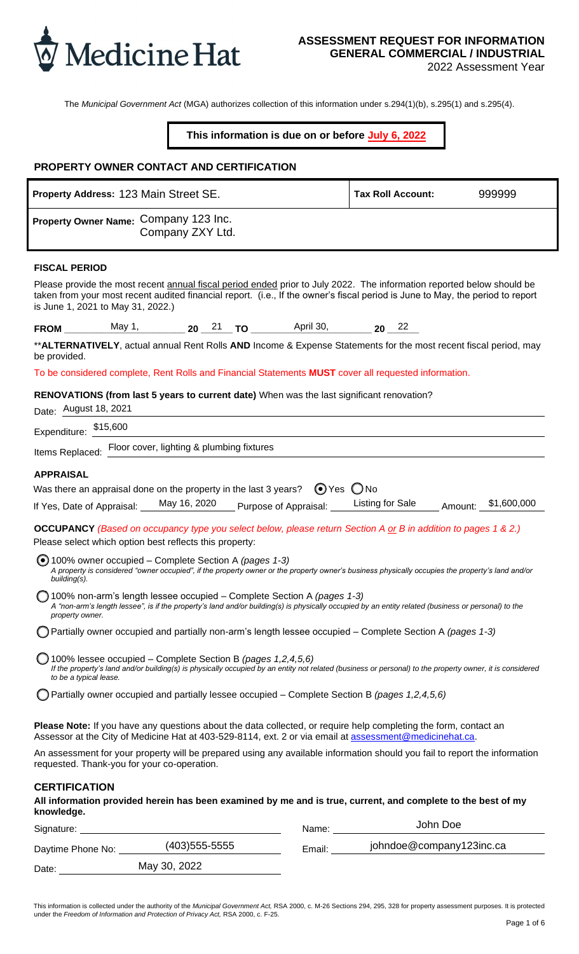|                          | 123 Main Street SE.                                                      |                 |                       | 999999      |
|--------------------------|--------------------------------------------------------------------------|-----------------|-----------------------|-------------|
|                          | Company 123 Inc.<br>Company ZXY Ltd.                                     |                 |                       |             |
|                          | May 1,                                                                   | 21<br>April 30, | $22\,$                |             |
|                          | August 18, 2021<br>\$15,600<br>Floor cover, lighting & plumbing fixtures |                 |                       |             |
|                          | May 16, 2020                                                             | $\odot$         | O<br>Listing for Sale | \$1,600,000 |
| $\odot$                  |                                                                          |                 |                       |             |
| $\bigcirc$               |                                                                          |                 |                       |             |
| $\bigcirc$<br>$\bigcirc$ |                                                                          |                 |                       |             |
| $\bigcirc$               |                                                                          |                 |                       |             |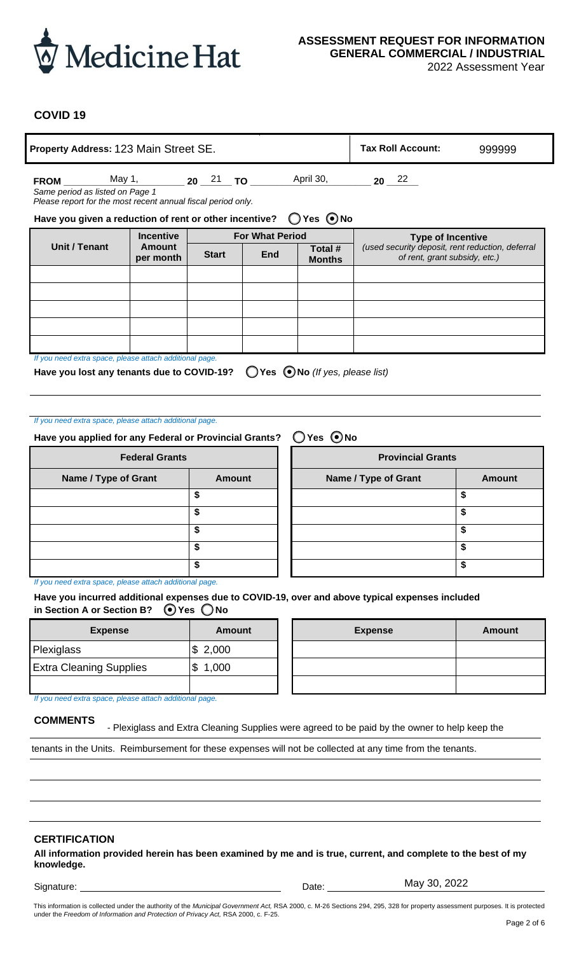

- Plexiglass and Extra Cleaning Supplies were agreed to be paid by the owner to help keep the tenants in the Units. Reimbursement for these expenses will not be collected at any time from the tenants.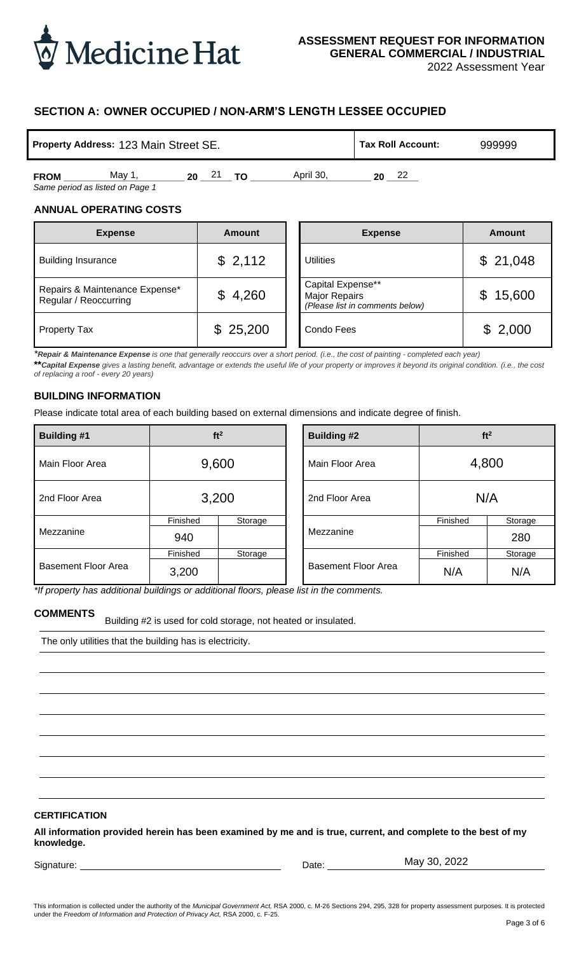

2022 Assessment Year

## **SECTION A: OWNER OCCUPIED / NON-ARM'S LENGTH LESSEE OCCUPIED**

|             | <b>Property Address: 123 Main Street SE.</b> | <b>Tax Roll Account:</b> | 999999    |    |  |
|-------------|----------------------------------------------|--------------------------|-----------|----|--|
| <b>FROM</b> | May 1                                        | 21<br>ΤO<br>20           | April 30. | 22 |  |

### **ANNUAL OPERATING COSTS**

| <b>Expense</b>                                          | <b>Amount</b> | <b>Expense</b><br><b>Amount</b>                                                          |
|---------------------------------------------------------|---------------|------------------------------------------------------------------------------------------|
| <b>Building Insurance</b>                               | \$2,112       | \$21,048<br><b>Utilities</b>                                                             |
| Repairs & Maintenance Expense*<br>Regular / Reoccurring | \$4,260       | Capital Expense**<br>\$15,600<br><b>Major Repairs</b><br>(Please list in comments below) |
| <b>Property Tax</b>                                     | \$25,200      | \$2,000<br>Condo Fees                                                                    |

### **BUILDING INFORMATION**

| Property Address: 123 Main Street SE.                                                                                                                                   |                   |                                                                |  | <b>Tax Roll Account:</b>                                                                                                                                                                                                                                                                                                                                                                                           |                 | 999999                   |
|-------------------------------------------------------------------------------------------------------------------------------------------------------------------------|-------------------|----------------------------------------------------------------|--|--------------------------------------------------------------------------------------------------------------------------------------------------------------------------------------------------------------------------------------------------------------------------------------------------------------------------------------------------------------------------------------------------------------------|-----------------|--------------------------|
| <b>FROM</b><br>Same period as listed on Page 1                                                                                                                          |                   | May 1, 20 21 TO                                                |  | April 30,<br>$20 \t 22$                                                                                                                                                                                                                                                                                                                                                                                            |                 |                          |
| <b>ANNUAL OPERATING COSTS</b><br><b>Expense</b>                                                                                                                         |                   | <b>Amount</b>                                                  |  | <b>Expense</b>                                                                                                                                                                                                                                                                                                                                                                                                     |                 | <b>Amount</b>            |
|                                                                                                                                                                         |                   |                                                                |  |                                                                                                                                                                                                                                                                                                                                                                                                                    |                 |                          |
| <b>Building Insurance</b>                                                                                                                                               |                   | \$2,112                                                        |  | <b>Utilities</b>                                                                                                                                                                                                                                                                                                                                                                                                   |                 | \$21,048                 |
| Repairs & Maintenance Expense*<br>Regular / Reoccurring                                                                                                                 |                   | \$4,260                                                        |  | Capital Expense**<br><b>Major Repairs</b><br>(Please list in comments below)                                                                                                                                                                                                                                                                                                                                       |                 | 15,600<br>$\mathfrak{F}$ |
| <b>Property Tax</b>                                                                                                                                                     |                   | \$25,200                                                       |  | Condo Fees                                                                                                                                                                                                                                                                                                                                                                                                         |                 | \$2,000                  |
| of replacing a roof - every 20 years)<br><b>BUILDING INFORMATION</b>                                                                                                    |                   |                                                                |  | *Repair & Maintenance Expense is one that generally reoccurs over a short period. (i.e., the cost of painting - completed each year)<br>** Capital Expense gives a lasting benefit, advantage or extends the useful life of your property or improves it beyond its original condition. (i.e., the cost<br>Please indicate total area of each building based on external dimensions and indicate degree of finish. |                 |                          |
| <b>Building #1</b>                                                                                                                                                      |                   | ft <sup>2</sup>                                                |  | <b>Building #2</b>                                                                                                                                                                                                                                                                                                                                                                                                 |                 | ft <sup>2</sup>          |
| Main Floor Area                                                                                                                                                         |                   | 9,600                                                          |  | Main Floor Area                                                                                                                                                                                                                                                                                                                                                                                                    | 4,800           |                          |
| 2nd Floor Area                                                                                                                                                          | 3,200             |                                                                |  | 2nd Floor Area                                                                                                                                                                                                                                                                                                                                                                                                     | N/A             |                          |
| Mezzanine                                                                                                                                                               | Finished<br>940   | Storage                                                        |  | Mezzanine                                                                                                                                                                                                                                                                                                                                                                                                          | Finished        | Storage<br>280           |
| <b>Basement Floor Area</b>                                                                                                                                              | Finished<br>3,200 | Storage                                                        |  | <b>Basement Floor Area</b>                                                                                                                                                                                                                                                                                                                                                                                         | Finished<br>N/A | Storage<br>N/A           |
| *If property has additional buildings or additional floors, please list in the comments.<br><b>COMMENTS</b><br>The only utilities that the building has is electricity. |                   | Building #2 is used for cold storage, not heated or insulated. |  |                                                                                                                                                                                                                                                                                                                                                                                                                    |                 |                          |
| <b>CERTIFICATION</b>                                                                                                                                                    |                   |                                                                |  |                                                                                                                                                                                                                                                                                                                                                                                                                    |                 |                          |
| knowledge.                                                                                                                                                              |                   |                                                                |  | All information provided herein has been examined by me and is true, current, and complete to the best of my                                                                                                                                                                                                                                                                                                       |                 |                          |
| Signature:                                                                                                                                                              |                   |                                                                |  | Date:                                                                                                                                                                                                                                                                                                                                                                                                              | May 30, 2022    |                          |

### **COMMENTS**

### **CERTIFICATION**

Signature: <u>Date:</u> Date:

This information is collected under the authority of the *Municipal Government Act,* RSA 2000, c. M-26 Sections 294, 295, 328 for property assessment purposes. It is protected under the *Freedom of Information and Protection of Privacy Act,* RSA 2000, c. F-25.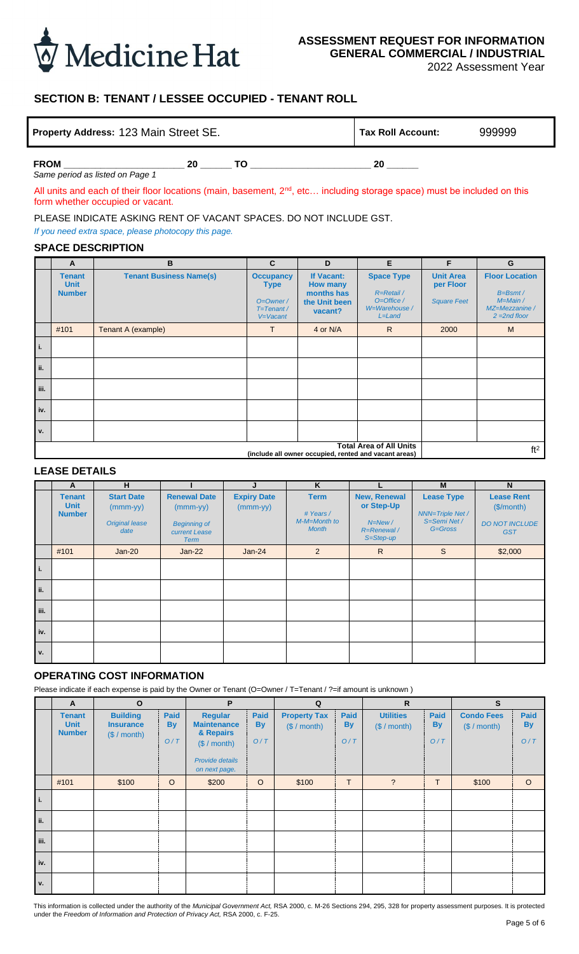

2022 Assessment Year

## **SECTION B: TENANT / LESSEE OCCUPIED - TENANT ROLL**

| Property Address: 123 Main Street SE. | Tax Roll Account: | 999999 |    |  |
|---------------------------------------|-------------------|--------|----|--|
| <b>FROM</b>                           | 20                | т∩     | 20 |  |

*Same period as listed on Page 1*

All units and each of their floor locations (main, basement,  $2<sup>nd</sup>$ , etc... including storage space) must be included on this form whether occupied or vacant.

PLEASE INDICATE ASKING RENT OF VACANT SPACES. DO NOT INCLUDE GST.

*If you need extra space, please photocopy this page.*

### **SPACE DESCRIPTION**

|      | A                                             |                                                                  | B                                                                                        |                                                                                  | $\mathbf{C}$                                                                                                                                              | D                                                        | E                                                                                       | F                                                                                           | G                                                                      |
|------|-----------------------------------------------|------------------------------------------------------------------|------------------------------------------------------------------------------------------|----------------------------------------------------------------------------------|-----------------------------------------------------------------------------------------------------------------------------------------------------------|----------------------------------------------------------|-----------------------------------------------------------------------------------------|---------------------------------------------------------------------------------------------|------------------------------------------------------------------------|
|      | <b>Tenant</b><br><b>Unit</b><br><b>Number</b> | <b>Tenant Business Name(s)</b>                                   |                                                                                          | <b>Occupancy</b><br><b>Type</b><br>$O=O$ wner /<br>$T = T$ enant /<br>$V=Vacant$ | <b>Space Type</b><br>If Vacant:<br><b>How many</b><br>months has<br>R=Retail /<br>$O =$ Office /<br>the Unit been<br>W=Warehouse /<br>vacant?<br>$L=Land$ |                                                          | <b>Unit Area</b><br>per Floor<br><b>Square Feet</b>                                     | <b>Floor Location</b><br>$B = B$ smt /<br>$M = Main /$<br>MZ=Mezzanine /<br>$2 = 2nd$ floor |                                                                        |
|      | #101                                          | Tenant A (example)                                               |                                                                                          |                                                                                  | T                                                                                                                                                         | 4 or N/A                                                 | $\mathsf{R}$                                                                            | 2000                                                                                        | M                                                                      |
| i.   |                                               |                                                                  |                                                                                          |                                                                                  |                                                                                                                                                           |                                                          |                                                                                         |                                                                                             |                                                                        |
| ii.  |                                               |                                                                  |                                                                                          |                                                                                  |                                                                                                                                                           |                                                          |                                                                                         |                                                                                             |                                                                        |
| iii. |                                               |                                                                  |                                                                                          |                                                                                  |                                                                                                                                                           |                                                          |                                                                                         |                                                                                             |                                                                        |
| iv.  |                                               |                                                                  |                                                                                          |                                                                                  |                                                                                                                                                           |                                                          |                                                                                         |                                                                                             |                                                                        |
| v.   |                                               |                                                                  |                                                                                          |                                                                                  |                                                                                                                                                           |                                                          |                                                                                         |                                                                                             |                                                                        |
|      |                                               |                                                                  |                                                                                          |                                                                                  |                                                                                                                                                           |                                                          | <b>Total Area of All Units</b><br>(include all owner occupied, rented and vacant areas) |                                                                                             | ft <sup>2</sup>                                                        |
|      | <b>LEASE DETAILS</b>                          |                                                                  |                                                                                          |                                                                                  |                                                                                                                                                           |                                                          |                                                                                         |                                                                                             |                                                                        |
|      | A                                             | H                                                                | п                                                                                        |                                                                                  | J                                                                                                                                                         | $\overline{\mathsf{K}}$                                  | L                                                                                       | M                                                                                           | N                                                                      |
|      | <b>Tenant</b><br><b>Unit</b><br><b>Number</b> | <b>Start Date</b><br>$(mmm-yy)$<br><b>Original lease</b><br>date | <b>Renewal Date</b><br>$(mmm-yy)$<br><b>Beginning of</b><br>current Lease<br><b>Term</b> |                                                                                  | <b>Expiry Date</b><br>$(mmm-yy)$                                                                                                                          | <b>Term</b><br># Years /<br>M-M=Month to<br><b>Month</b> | <b>New, Renewal</b><br>or Step-Up<br>$N=New/$<br>R=Renewal /<br>S=Step-up               | <b>Lease Type</b><br><b>NNN=Triple Net /</b><br>S=Semi Net /<br>$G = Gross$                 | <b>Lease Rent</b><br>(\$/month)<br><b>DO NOT INCLUDE</b><br><b>GST</b> |
|      | #101                                          | $Jan-20$                                                         | $Jan-22$                                                                                 |                                                                                  | $Jan-24$                                                                                                                                                  | $\overline{2}$                                           | $\mathsf{R}$                                                                            | S                                                                                           | \$2,000                                                                |
| i.   |                                               |                                                                  |                                                                                          |                                                                                  |                                                                                                                                                           |                                                          |                                                                                         |                                                                                             |                                                                        |
| ii.  |                                               |                                                                  |                                                                                          |                                                                                  |                                                                                                                                                           |                                                          |                                                                                         |                                                                                             |                                                                        |
| iii. |                                               |                                                                  |                                                                                          |                                                                                  |                                                                                                                                                           |                                                          |                                                                                         |                                                                                             |                                                                        |
| iv.  |                                               |                                                                  |                                                                                          |                                                                                  |                                                                                                                                                           |                                                          |                                                                                         |                                                                                             |                                                                        |
| ٧.   |                                               |                                                                  |                                                                                          |                                                                                  |                                                                                                                                                           |                                                          |                                                                                         |                                                                                             |                                                                        |
|      |                                               | <b>OPERATING COST INFORMATION</b>                                |                                                                                          |                                                                                  |                                                                                                                                                           |                                                          |                                                                                         |                                                                                             |                                                                        |

|      | <u>__</u> __________                          |                                                                  |                                                                                          |                                  |                                                          |                                                                      |                                                                         |                                                                       |
|------|-----------------------------------------------|------------------------------------------------------------------|------------------------------------------------------------------------------------------|----------------------------------|----------------------------------------------------------|----------------------------------------------------------------------|-------------------------------------------------------------------------|-----------------------------------------------------------------------|
|      | A                                             | H                                                                |                                                                                          | J                                | K                                                        |                                                                      | M                                                                       | N.                                                                    |
|      | <b>Tenant</b><br><b>Unit</b><br><b>Number</b> | <b>Start Date</b><br>$(mmm-yy)$<br><b>Original lease</b><br>date | <b>Renewal Date</b><br>$(mmm-yy)$<br><b>Beginning of</b><br>current Lease<br><b>Term</b> | <b>Expiry Date</b><br>$(mmm-yy)$ | <b>Term</b><br># Years /<br>M-M=Month to<br><b>Month</b> | New, Renewal<br>or Step-Up<br>$N = New/$<br>R=Renewal /<br>S=Step-up | <b>Lease Type</b><br><b>NNN=Triple Net /</b><br>S=Semi Net /<br>G=Gross | <b>Lease Rent</b><br>(S/month)<br><b>DO NOT INCLUDE</b><br><b>GST</b> |
|      | #101                                          | $Jan-20$                                                         | $Jan-22$                                                                                 | $Jan-24$                         | 2                                                        | R.                                                                   | S                                                                       | \$2,000                                                               |
| i.   |                                               |                                                                  |                                                                                          |                                  |                                                          |                                                                      |                                                                         |                                                                       |
| ii.  |                                               |                                                                  |                                                                                          |                                  |                                                          |                                                                      |                                                                         |                                                                       |
| iii. |                                               |                                                                  |                                                                                          |                                  |                                                          |                                                                      |                                                                         |                                                                       |
| iv.  |                                               |                                                                  |                                                                                          |                                  |                                                          |                                                                      |                                                                         |                                                                       |
| v.   |                                               |                                                                  |                                                                                          |                                  |                                                          |                                                                      |                                                                         |                                                                       |

### **OPERATING COST INFORMATION**

Please indicate if each expense is paid by the Owner or Tenant (O=Owner / T=Tenant / ?=if amount is unknown)

|      | $\mathsf{A}$                                  | $\mathbf{o}$                                        |                          | P                                                                                                            |                                 | Q                                   |                          | $\mathsf{R}$                     |                                 | $\mathbf{s}$                     |                                 |
|------|-----------------------------------------------|-----------------------------------------------------|--------------------------|--------------------------------------------------------------------------------------------------------------|---------------------------------|-------------------------------------|--------------------------|----------------------------------|---------------------------------|----------------------------------|---------------------------------|
|      | <b>Tenant</b><br><b>Unit</b><br><b>Number</b> | <b>Building</b><br><b>Insurance</b><br>(\$ / month) | Paid<br><b>By</b><br>O/T | <b>Regular</b><br><b>Maintenance</b><br>& Repairs<br>(\$ / month)<br><b>Provide details</b><br>on next page. | <b>Paid</b><br><b>By</b><br>O/T | <b>Property Tax</b><br>(\$ / month) | Paid<br><b>By</b><br>O/T | <b>Utilities</b><br>(\$ / month) | <b>Paid</b><br><b>By</b><br>O/T | <b>Condo Fees</b><br>(S / month) | <b>Paid</b><br><b>By</b><br>O/T |
|      | #101                                          | \$100                                               | $\circ$                  | \$200                                                                                                        | $\circ$                         | \$100                               | T                        | $\overline{?}$                   | T                               | \$100                            | $\circ$                         |
| i.   |                                               |                                                     |                          |                                                                                                              |                                 |                                     |                          |                                  |                                 |                                  |                                 |
| ii.  |                                               |                                                     |                          |                                                                                                              |                                 |                                     |                          |                                  |                                 |                                  |                                 |
| iii. |                                               |                                                     |                          |                                                                                                              |                                 |                                     |                          |                                  |                                 |                                  |                                 |
| iv.  |                                               |                                                     |                          |                                                                                                              |                                 |                                     |                          |                                  |                                 |                                  |                                 |
| v.   |                                               |                                                     |                          |                                                                                                              |                                 |                                     |                          |                                  |                                 |                                  |                                 |

This information is collected under the authority of the *Municipal Government Act,* RSA 2000, c. M-26 Sections 294, 295, 328 for property assessment purposes. It is protected under the *Freedom of Information and Protection of Privacy Act,* RSA 2000, c. F-25.